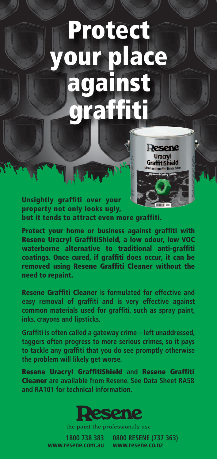## Protect your place against graffiti



Unsightly graffiti over your property not only looks ugly, but it tends to attract even more graffiti.

Protect your home or business against graffiti with Resene Uracryl GraffitiShield, a low odour, low VOC waterborne alternative to traditional anti-graffiti coatings. Once cured, if graffiti does occur, it can be removed using Resene Graffiti Cleaner without the need to repaint.

Resene Graffiti Cleaner **is formulated for effective and easy removal of graffiti and is very effective against common materials used for graffiti, such as spray paint, inks, crayons and lipsticks.**

**Graffiti is often called a gateway crime – left unaddressed, taggers often progress to more serious crimes, so it pays to tackle any graffiti that you do see promptly otherwise the problem will likely get worse.**

Resene Uracryl GraffitiShield **and** Resene Graffiti Cleaner **are available from Resene. See Data Sheet RA58 and RA101 for technical information.**



the paint the professionals use

**1800 738 383 www.resene.com.au** 

**0800 RESENE (737 363) www.resene.co.nz**